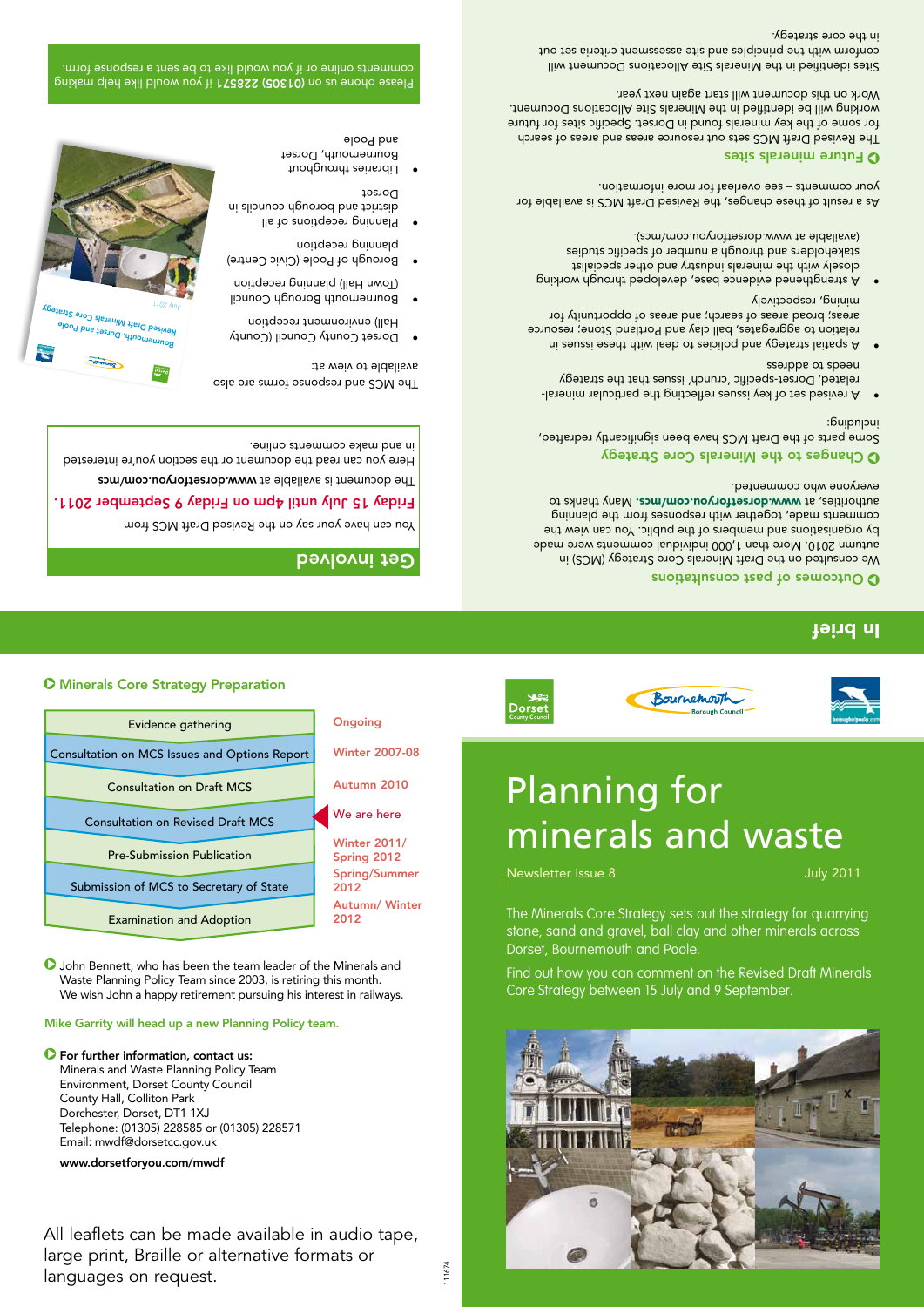#### **O** Minerals Core Strategy Preparation



**D** John Bennett, who has been the team leader of the Minerals and Waste Planning Policy Team since 2003, is retiring this month. We wish John a happy retirement pursuing his interest in railways.

#### Mike Garrity will head up a new Planning Policy team.

#### $\bullet$  For further information, contact us:

Minerals and Waste Planning Policy Team Environment, Dorset County Council County Hall, Colliton Park Dorchester, Dorset, DT1 1XJ Telephone: (01305) 228585 or (01305) 228571 Email: mwdf@dorsetcc.gov.uk

#### www.dorsetforyou.com/mwdf

All leaflets can be made available in audio tape, large print, Braille or alternative formats or languages on request.



111674





# Planning for minerals and waste

Newsletter Issue 8 July 2011

The Minerals Core Strategy sets out the strategy for quarrying stone, sand and gravel, ball clay and other minerals across Dorset, Bournemouth and Poole.

Find out how you can comment on the Revised Draft Minerals Core Strategy between 15 July and 9 September.

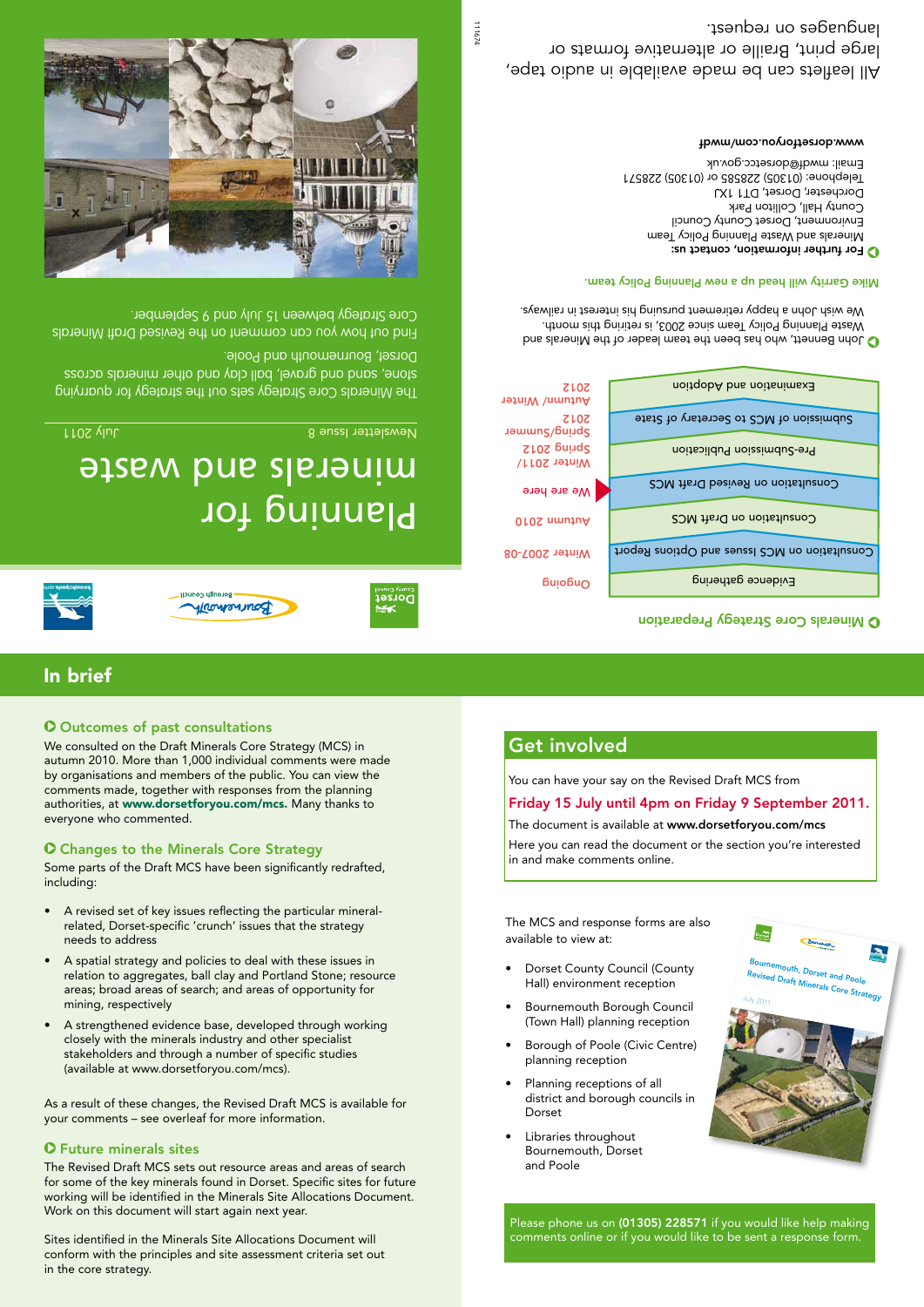#### **O** Outcomes of past consultations

We consulted on the Draft Minerals Core Strategy (MCS) in autumn 2010. More than 1,000 individual comments were made by organisations and members of the public. You can view the comments made, together with responses from the planning authorities, at www.dorsetforyou.com/mcs. Many thanks to everyone who commented.

#### **O** Changes to the Minerals Core Strategy

Some parts of the Draft MCS have been significantly redrafted. including:

- A revised set of key issues reflecting the particular mineralrelated, Dorset-specific 'crunch' issues that the strategy needs to address
- A spatial strategy and policies to deal with these issues in relation to aggregates, ball clay and Portland Stone; resource areas; broad areas of search; and areas of opportunity for mining, respectively
- A strengthened evidence base, developed through working closely with the minerals industry and other specialist stakeholders and through a number of specific studies (available at www.dorsetforyou.com/mcs).

As a result of these changes, the Revised Draft MCS is available for your comments – see overleaf for more information.

#### Z Future minerals sites

The Revised Draft MCS sets out resource areas and areas of search for some of the key minerals found in Dorset. Specific sites for future working will be identified in the Minerals Site Allocations Document. Work on this document will start again next year.

Sites identified in the Minerals Site Allocations Document will conform with the principles and site assessment criteria set out in the core strategy.

### Get involved

You can have your say on the Revised Draft MCS from

#### Friday 15 July until 4pm on Friday 9 September 2011.

The document is available at www.dorsetforyou.com/mcs

Here you can read the document or the section you're interested in and make comments online.

The MCS and response forms are also available to view at:

- Dorset County Council (County Hall) environment reception
- Bournemouth Borough Council (Town Hall) planning reception
- Borough of Poole (Civic Centre) planning reception
- Planning receptions of all district and borough councils in Dorset
- Libraries throughout Bournemouth, Dorset and Poole



Please phone us on (01305) 228571 if you would like help making comments online or if you would like to be sent a response form.